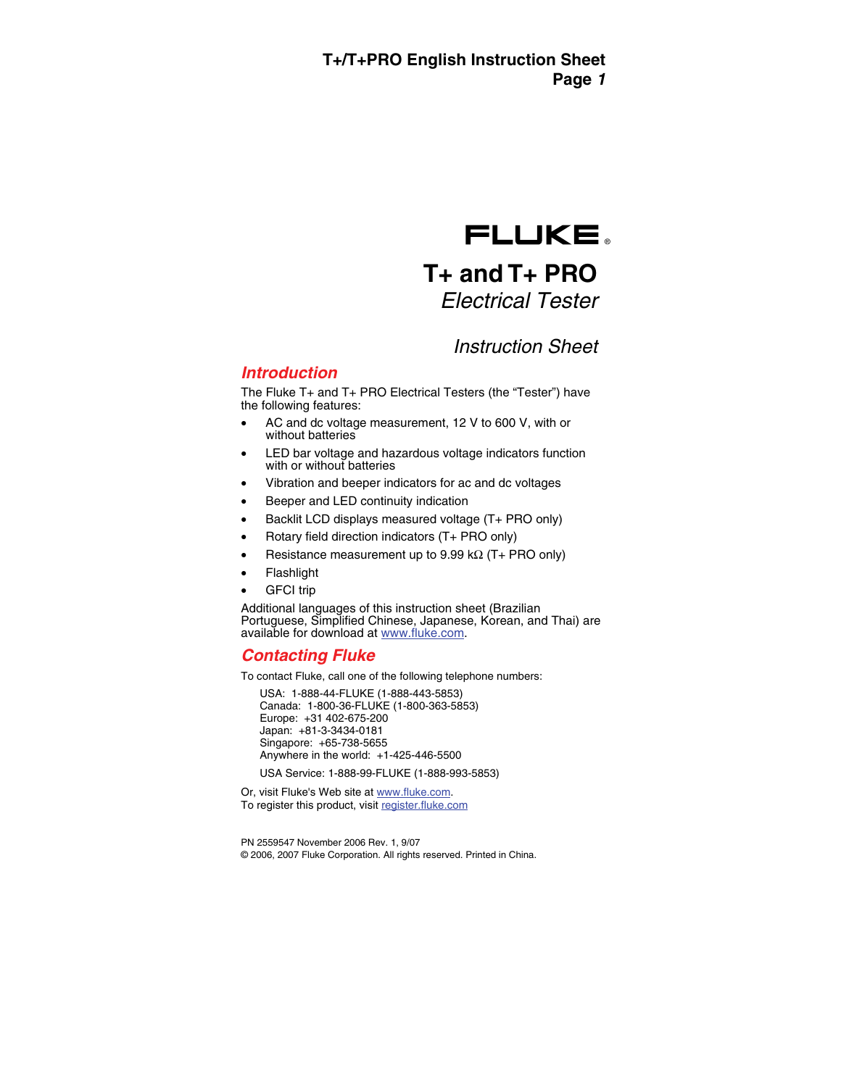# FLUKE.

# **T+ and T+ PRO**  *Electrical Tester*

# *Instruction Sheet*

# *Introduction*

The Fluke T+ and T+ PRO Electrical Testers (the "Tester") have the following features:

- AC and dc voltage measurement, 12 V to 600 V, with or without batteries
- LED bar voltage and hazardous voltage indicators function with or without batteries
- Vibration and beeper indicators for ac and dc voltages
- Beeper and LED continuity indication
- Backlit LCD displays measured voltage (T+ PRO only)
- Rotary field direction indicators (T+ PRO only)
- Resistance measurement up to 9.99 k $\Omega$  (T+ PRO only)
- Flashlight
- **GFCI** trip

Additional languages of this instruction sheet (Brazilian Portuguese, Simplified Chinese, Japanese, Korean, and Thai) are available for download at www.fluke.com.

# *Contacting Fluke*

To contact Fluke, call one of the following telephone numbers:

USA: 1-888-44-FLUKE (1-888-443-5853) Canada: 1-800-36-FLUKE (1-800-363-5853) Europe: +31 402-675-200 Japan: +81-3-3434-0181 Singapore: +65-738-5655 Anywhere in the world: +1-425-446-5500

USA Service: 1-888-99-FLUKE (1-888-993-5853)

Or, visit Fluke's Web site at www.fluke.com. To register this product, visi[t register.fluke.com](http://register.fluke.com)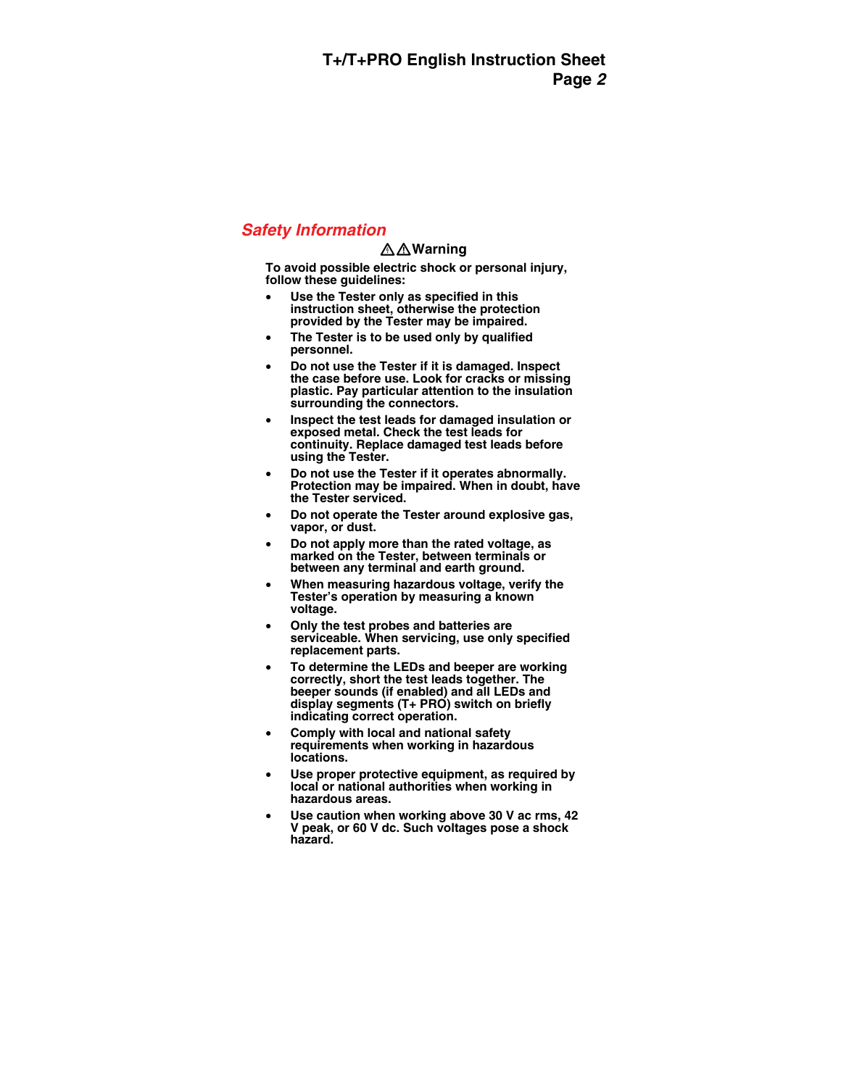# *Safety Information*

### XW**Warning**

**To avoid possible electric shock or personal injury, follow these guidelines:** 

- **Use the Tester only as specified in this instruction sheet, otherwise the protection provided by the Tester may be impaired.**
- **The Tester is to be used only by qualified personnel.**
- **Do not use the Tester if it is damaged. Inspect the case before use. Look for cracks or missing plastic. Pay particular attention to the insulation surrounding the connectors.**
- **Inspect the test leads for damaged insulation or exposed metal. Check the test leads for continuity. Replace damaged test leads before using the Tester.**
- **Do not use the Tester if it operates abnormally. Protection may be impaired. When in doubt, have the Tester serviced.**
- **Do not operate the Tester around explosive gas, vapor, or dust.**
- **Do not apply more than the rated voltage, as marked on the Tester, between terminals or between any terminal and earth ground.**
- **When measuring hazardous voltage, verify the Tester's operation by measuring a known voltage.**
- **Only the test probes and batteries are serviceable. When servicing, use only specified replacement parts.**
- **To determine the LEDs and beeper are working correctly, short the test leads together. The beeper sounds (if enabled) and all LEDs and display segments (T+ PRO) switch on briefly indicating correct operation.**
- **Comply with local and national safety requirements when working in hazardous locations.**
- Use proper protective equipment, as required by **local or national authorities when working in hazardous areas.**
- **Use caution when working above 30 V ac rms, 42 V peak, or 60 V dc. Such voltages pose a shock hazard.**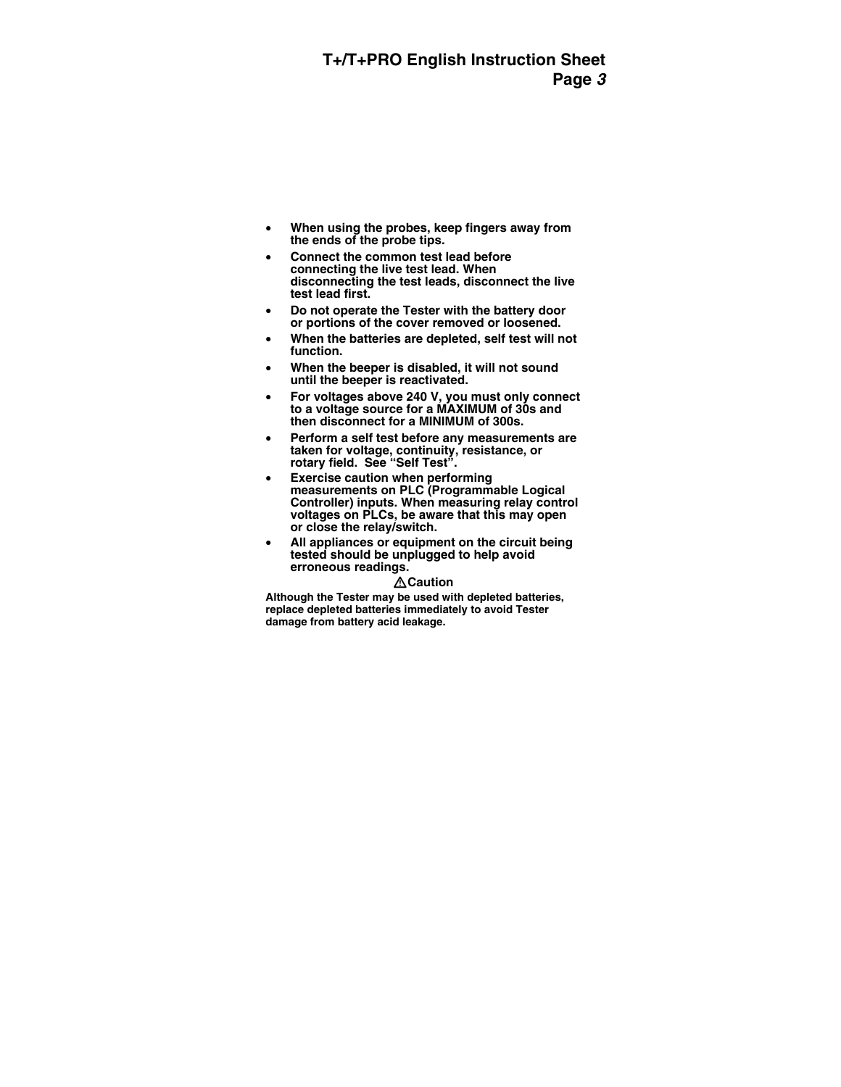- **When using the probes, keep fingers away from the ends of the probe tips.**
- **Connect the common test lead before connecting the live test lead. When disconnecting the test leads, disconnect the live test lead first.**
- **Do not operate the Tester with the battery door or portions of the cover removed or loosened.**
- **When the batteries are depleted, self test will not function.**
- **When the beeper is disabled, it will not sound until the beeper is reactivated.**
- **For voltages above 240 V, you must only connect to a voltage source for a MAXIMUM of 30s and then disconnect for a MINIMUM of 300s.**
- **Perform a self test before any measurements are taken for voltage, continuity, resistance, or rotary field. See "Self Test".**
- **Exercise caution when performing measurements on PLC (Programmable Logical Controller) inputs. When measuring relay control voltages on PLCs, be aware that this may open or close the relay/switch.**
- **All appliances or equipment on the circuit being tested should be unplugged to help avoid erroneous readings.**

#### **∆Caution**

**Although the Tester may be used with depleted batteries, replace depleted batteries immediately to avoid Tester damage from battery acid leakage.**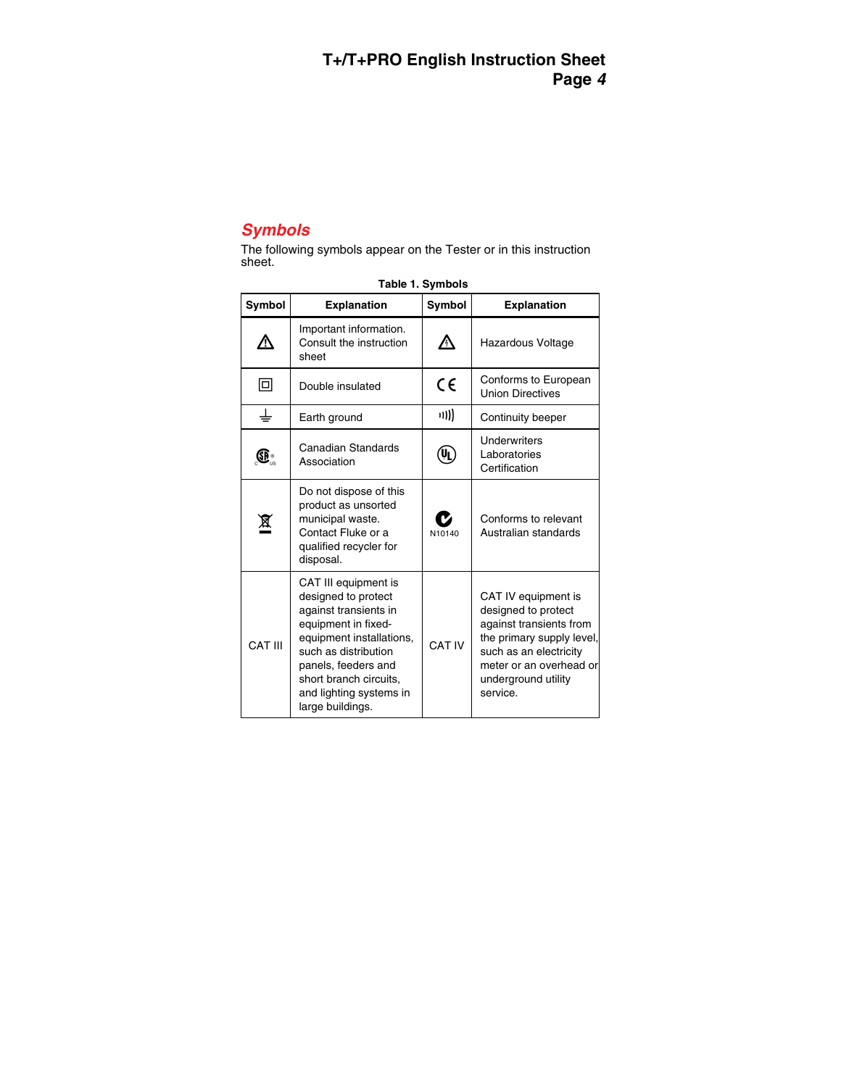# *Symbols*

The following symbols appear on the Tester or in this instruction sheet.

| <b>Symbol</b> | <b>Explanation</b>                                                                                                                                                                                                                              | Symbol      | <b>Explanation</b>                                                                                                                                                                         |
|---------------|-------------------------------------------------------------------------------------------------------------------------------------------------------------------------------------------------------------------------------------------------|-------------|--------------------------------------------------------------------------------------------------------------------------------------------------------------------------------------------|
|               | Important information.<br>Consult the instruction<br>sheet                                                                                                                                                                                      | $\bigwedge$ | Hazardous Voltage                                                                                                                                                                          |
| 回             | Double insulated                                                                                                                                                                                                                                | CE          | Conforms to European<br><b>Union Directives</b>                                                                                                                                            |
| ╧             | Earth ground                                                                                                                                                                                                                                    | ((ני        | Continuity beeper                                                                                                                                                                          |
| Œ.            | Canadian Standards<br>Association                                                                                                                                                                                                               | (U)         | Underwriters<br>Laboratories<br>Certification                                                                                                                                              |
| 亙             | Do not dispose of this<br>product as unsorted<br>municipal waste.<br>Contact Fluke or a<br>qualified recycler for<br>disposal.                                                                                                                  | N10140      | Conforms to relevant<br>Australian standards                                                                                                                                               |
| CAT III       | CAT III equipment is<br>designed to protect<br>against transients in<br>equipment in fixed-<br>equipment installations,<br>such as distribution<br>panels, feeders and<br>short branch circuits,<br>and lighting systems in<br>large buildings. | CAT IV      | CAT IV equipment is<br>designed to protect<br>against transients from<br>the primary supply level,<br>such as an electricity<br>meter or an overhead or<br>underground utility<br>service. |

**Table 1. Symbols**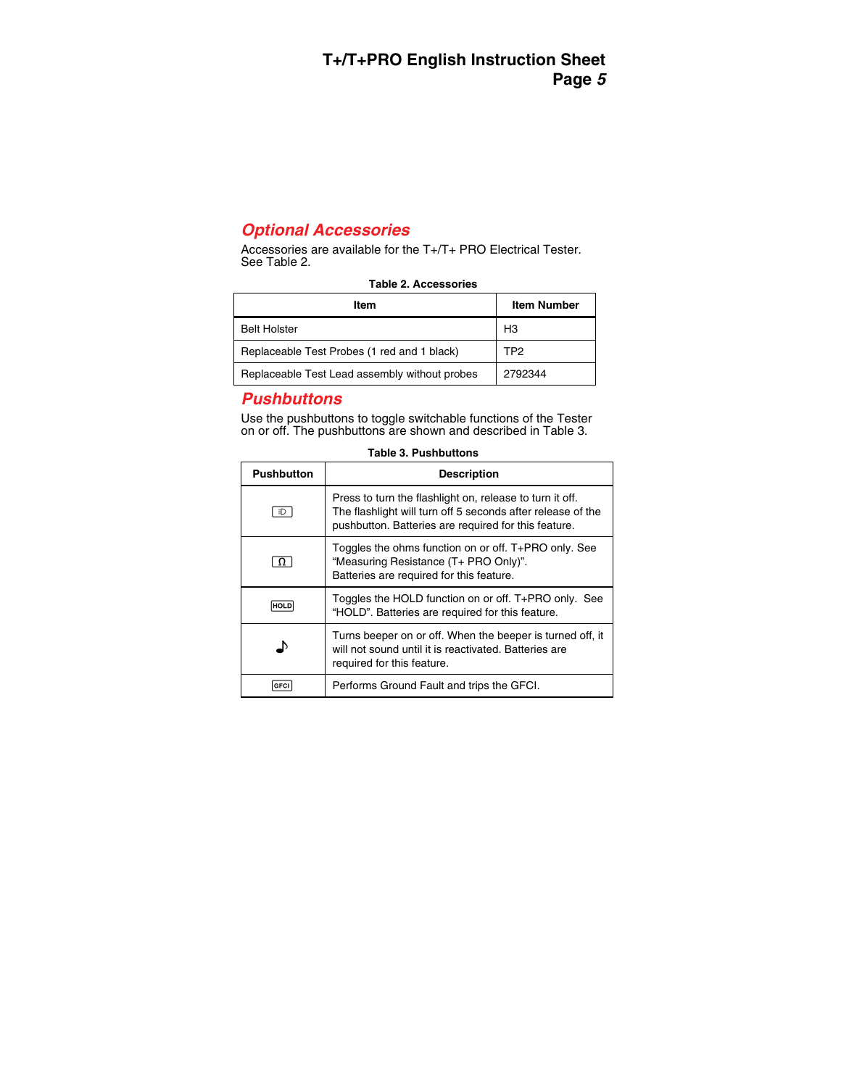# *Optional Accessories*

Accessories are available for the T+/T+ PRO Electrical Tester. See Table 2.

| Item                                          | <b>Item Number</b> |
|-----------------------------------------------|--------------------|
| <b>Belt Holster</b>                           | H <sub>3</sub>     |
| Replaceable Test Probes (1 red and 1 black)   | TP <sub>2</sub>    |
| Replaceable Test Lead assembly without probes | 2792344            |

#### **Table 2. Accessories**

# *Pushbuttons*

Use the pushbuttons to toggle switchable functions of the Tester on or off. The pushbuttons are shown and described in Table 3.

| Pushbutton | <b>Description</b>                                                                                                                                                              |
|------------|---------------------------------------------------------------------------------------------------------------------------------------------------------------------------------|
| ÷D.        | Press to turn the flashlight on, release to turn it off.<br>The flashlight will turn off 5 seconds after release of the<br>pushbutton. Batteries are required for this feature. |
| 11         | Toggles the ohms function on or off. T+PRO only. See<br>"Measuring Resistance (T+ PRO Only)".<br>Batteries are required for this feature.                                       |
| HOLI       | Toggles the HOLD function on or off. T+PRO only. See<br>"HOLD". Batteries are required for this feature.                                                                        |
|            | Turns beeper on or off. When the beeper is turned off, it<br>will not sound until it is reactivated. Batteries are<br>required for this feature.                                |
|            | Performs Ground Fault and trips the GFCI.                                                                                                                                       |

| <b>Table 3. Pushbuttons</b> |  |
|-----------------------------|--|
|-----------------------------|--|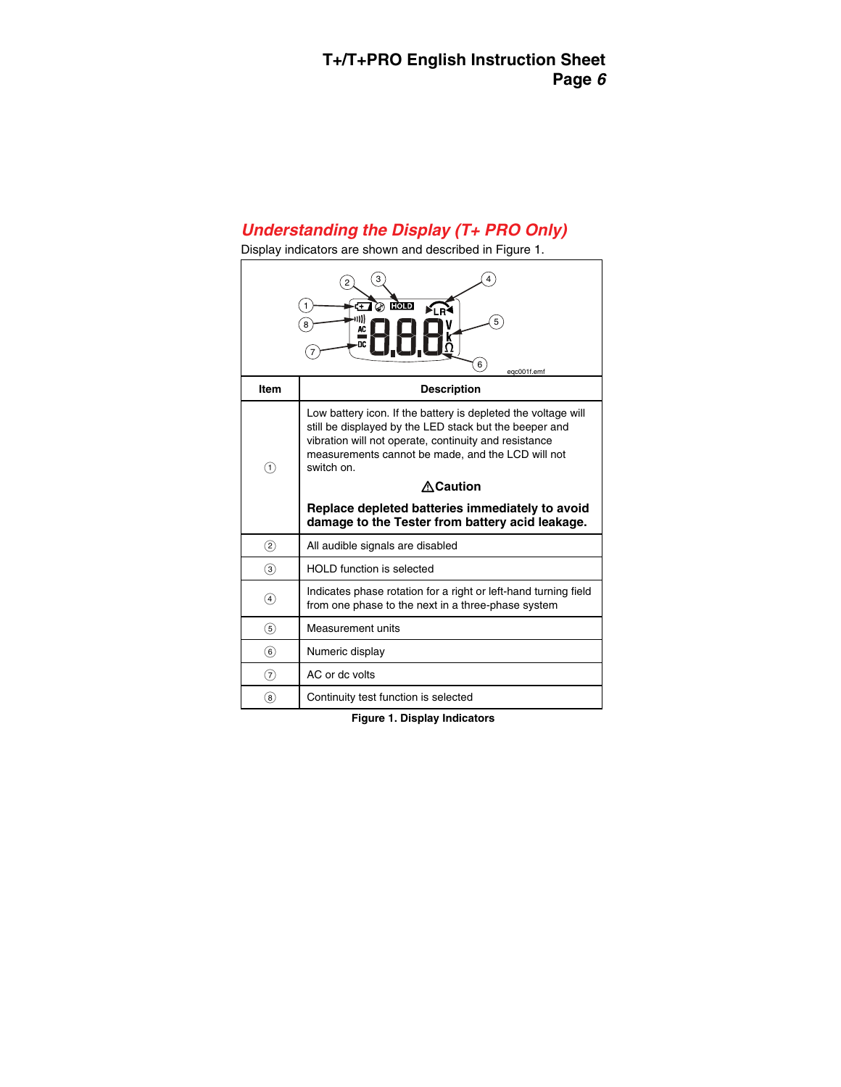# *Understanding the Display (T+ PRO Only)*

l,

Display indicators are shown and described in Figure 1.

|                   | प्रलेण<br>≱i n∛<br>5<br>8<br>nc.<br>6<br>egc001f.emf                                                                                                                                                                                                                                                                                                                         |
|-------------------|------------------------------------------------------------------------------------------------------------------------------------------------------------------------------------------------------------------------------------------------------------------------------------------------------------------------------------------------------------------------------|
| Item              | <b>Description</b>                                                                                                                                                                                                                                                                                                                                                           |
| O                 | Low battery icon. If the battery is depleted the voltage will<br>still be displayed by the LED stack but the beeper and<br>vibration will not operate, continuity and resistance<br>measurements cannot be made, and the LCD will not<br>switch on.<br><b>∧Caution</b><br>Replace depleted batteries immediately to avoid<br>damage to the Tester from battery acid leakage. |
| $\circled{2}$     | All audible signals are disabled                                                                                                                                                                                                                                                                                                                                             |
| $\circled{3}$     | <b>HOLD</b> function is selected                                                                                                                                                                                                                                                                                                                                             |
| $\left( 4\right)$ | Indicates phase rotation for a right or left-hand turning field<br>from one phase to the next in a three-phase system                                                                                                                                                                                                                                                        |
| $\circleds$       | Measurement units                                                                                                                                                                                                                                                                                                                                                            |
| (6)               | Numeric display                                                                                                                                                                                                                                                                                                                                                              |
| 7)                | AC or dc volts                                                                                                                                                                                                                                                                                                                                                               |
| 8                 | Continuity test function is selected                                                                                                                                                                                                                                                                                                                                         |

**Figure 1. Display Indicators**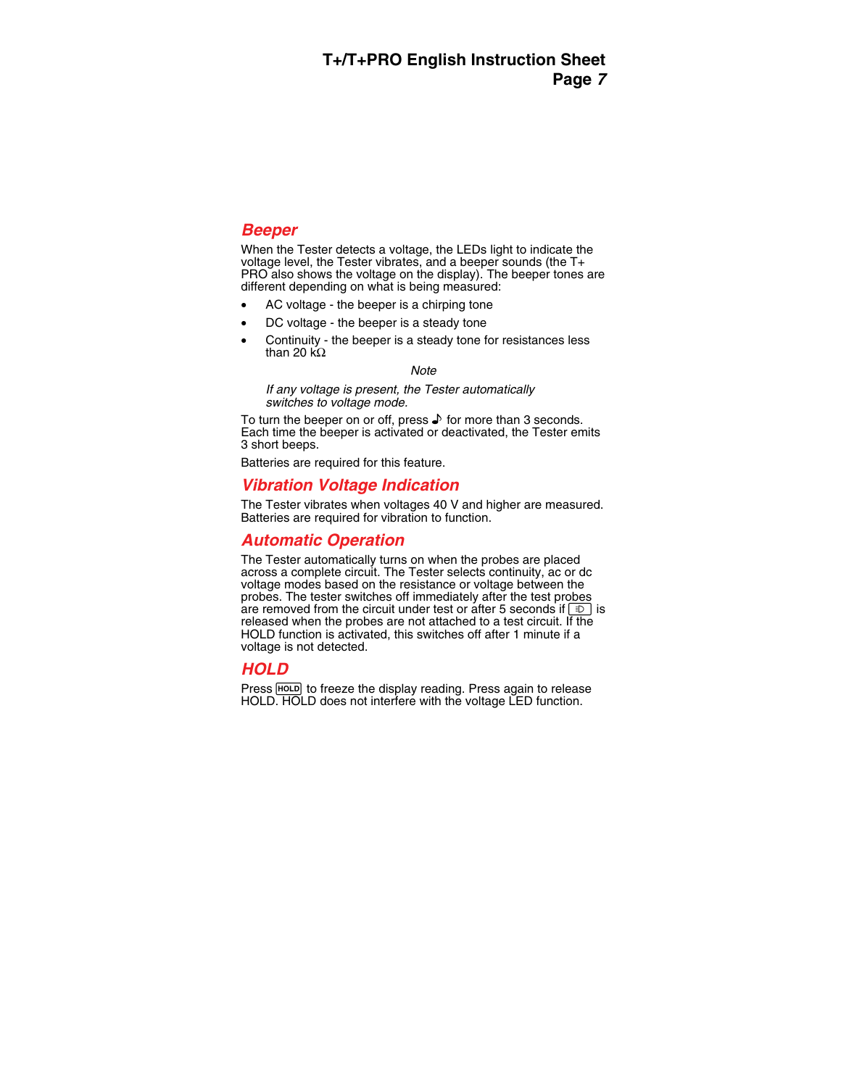### *Beeper*

When the Tester detects a voltage, the LEDs light to indicate the voltage level, the Tester vibrates, and a beeper sounds (the T+ PRO also shows the voltage on the display). The beeper tones are different depending on what is being measured:

- AC voltage the beeper is a chirping tone
- DC voltage the beeper is a steady tone
- Continuity the beeper is a steady tone for resistances less than 20 kΩ

#### *Note*

*If any voltage is present, the Tester automatically switches to voltage mode.* 

To turn the beeper on or off, press  $\blacktriangleright$  for more than 3 seconds. Each time the beeper is activated or deactivated, the Tester emits 3 short beeps.

Batteries are required for this feature.

# *Vibration Voltage Indication*

The Tester vibrates when voltages 40 V and higher are measured. Batteries are required for vibration to function.

## *Automatic Operation*

The Tester automatically turns on when the probes are placed across a complete circuit. The Tester selects continuity, ac or dc voltage modes based on the resistance or voltage between the probes. The tester switches off immediately after the test probes are removed from the circuit under test or after 5 seconds if  $\Box$  is released when the probes are not attached to a test circuit. If the HOLD function is activated, this switches off after 1 minute if a voltage is not detected.

# *HOLD*

Press FHOLD to freeze the display reading. Press again to release HOLD. HOLD does not interfere with the voltage LED function.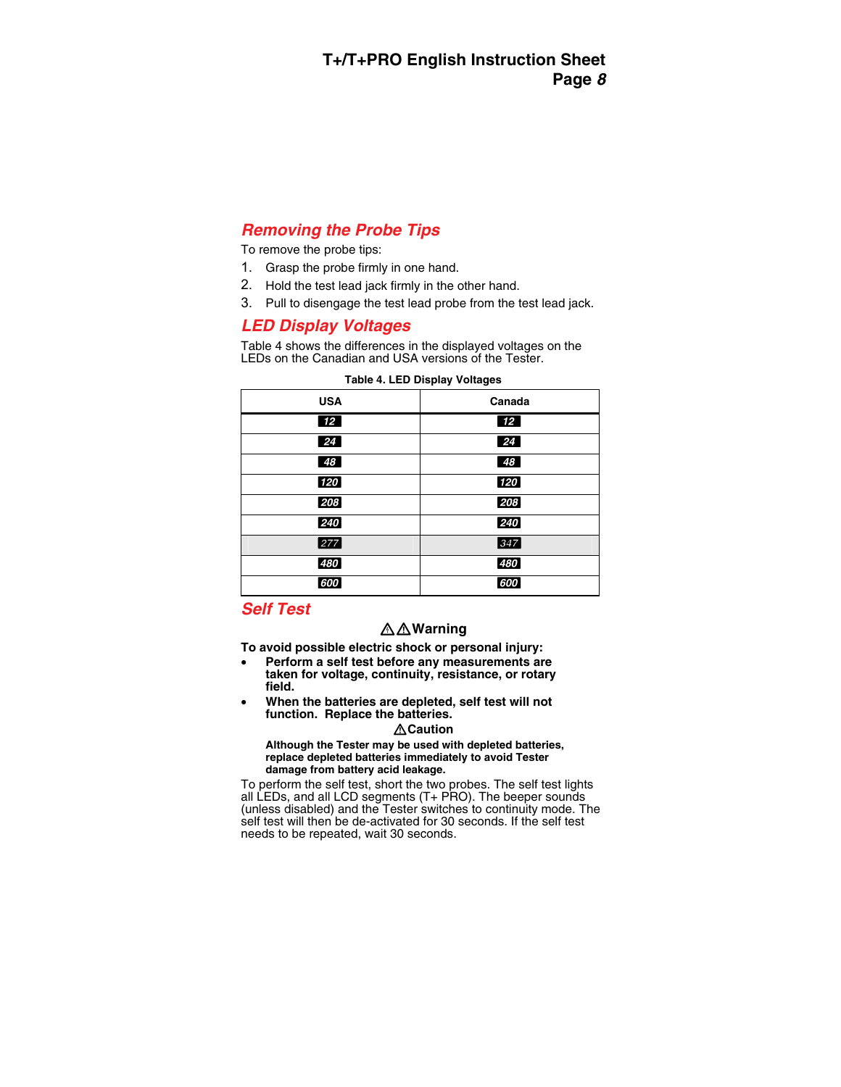# *Removing the Probe Tips*

To remove the probe tips:

- 1. Grasp the probe firmly in one hand.
- 2. Hold the test lead jack firmly in the other hand.
- 3. Pull to disengage the test lead probe from the test lead jack.

# *LED Display Voltages*

Table 4 shows the differences in the displayed voltages on the LEDs on the Canadian and USA versions of the Tester.

| <b>USA</b> | Canada          |
|------------|-----------------|
| 12         | 12 <sup>7</sup> |
| 24         | 24              |
| 48         | 48              |
| 120        | 120             |
| 208        | 208             |
| 240        | 240             |
| 277        | 347             |
| 480        | 480             |
| 600        | 600             |

| Table 4. LED Display Voltages |  |  |
|-------------------------------|--|--|
|-------------------------------|--|--|

# *Self Test*

# XW**Warning**

**To avoid possible electric shock or personal injury:** 

- **Perform a self test before any measurements are taken for voltage, continuity, resistance, or rotary field.**
- **When the batteries are depleted, self test will not function. Replace the batteries.**

#### W**Caution**

**Although the Tester may be used with depleted batteries, replace depleted batteries immediately to avoid Tester damage from battery acid leakage.** 

To perform the self test, short the two probes. The self test lights all LEDs, and all LCD segments (T+ PRO). The beeper sounds (unless disabled) and the Tester switches to continuity mode. The self test will then be de-activated for 30 seconds. If the self test needs to be repeated, wait 30 seconds.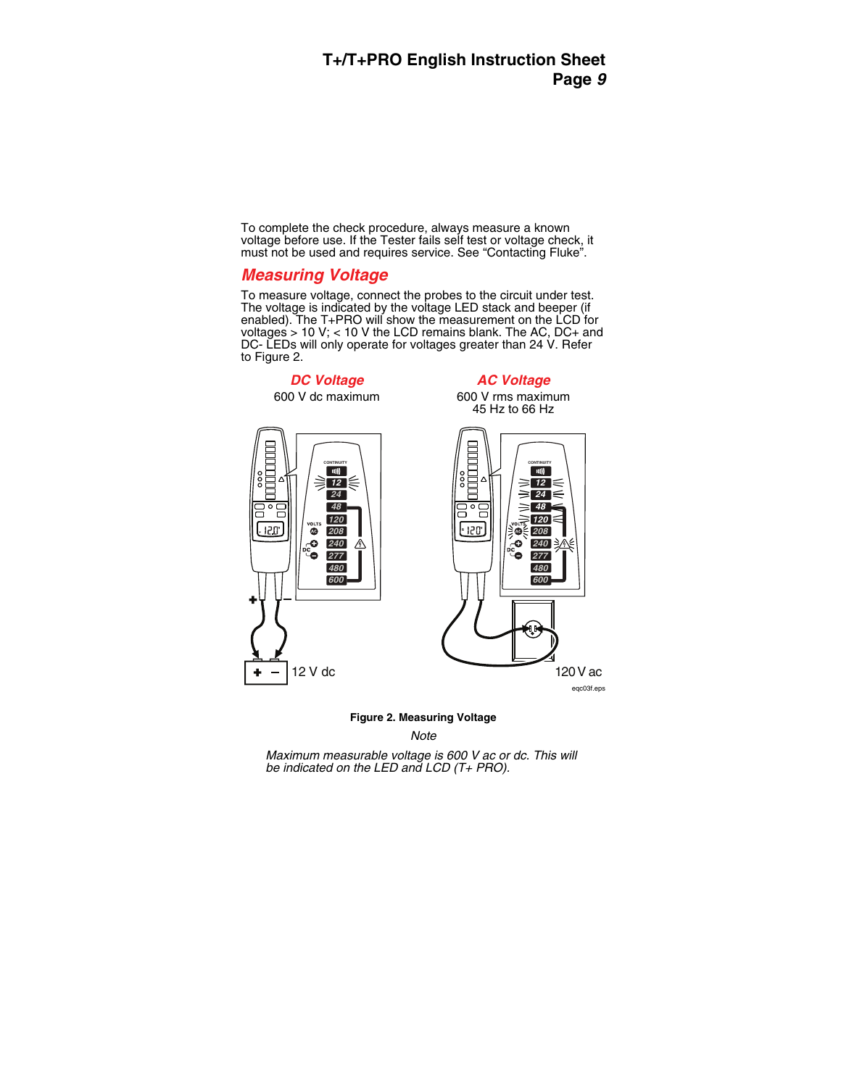To complete the check procedure, always measure a known voltage before use. If the Tester fails self test or voltage check, it must not be used and requires service. See "Contacting Fluke".

### *Measuring Voltage*

To measure voltage, connect the probes to the circuit under test. The voltage is indicated by the voltage LED stack and beeper (if enabled). The T+PRO will show the measurement on the LCD for voltages  $> 10$  V; < 10 V the LCD remains blank. The AC, DC+ and DC- LEDs will only operate for voltages greater than 24 V. Refer to Figure 2.

*DC Voltage*  600 V dc maximum *AC Voltage* 

600 V rms maximum 45 Hz to 66 Hz





eqc03f.eps

#### **Figure 2. Measuring Voltage**

*Note* 

*Maximum measurable voltage is 600 V ac or dc. This will be indicated on the LED and LCD (T+ PRO).*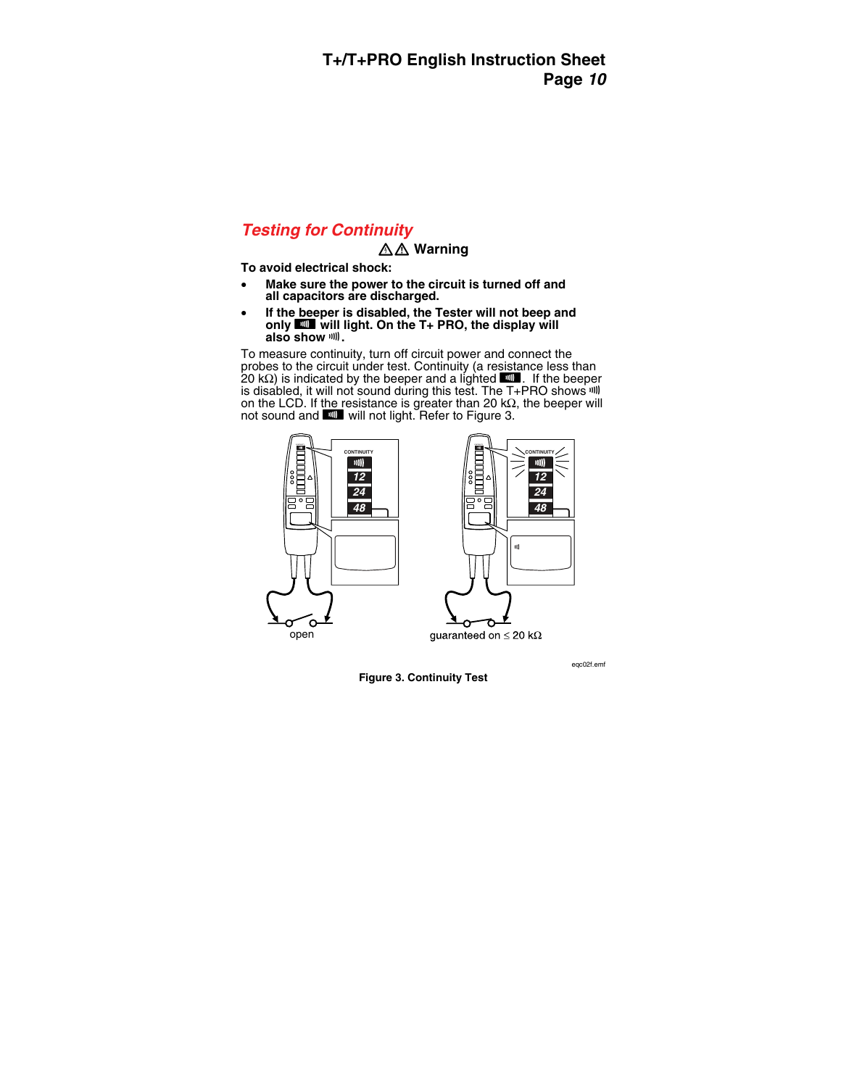### *Testing for Continuity*

### XW **Warning**

**To avoid electrical shock:** 

- **Make sure the power to the circuit is turned off and all capacitors are discharged.**
- **If the beeper is disabled, the Tester will not beep and**  only **PH** will light. On the T+ PRO, the display will **also show** F**.**

To measure continuity, turn off circuit power and connect the probes to the circuit under test. Continuity (a resistance less than 20 kΩ) is indicated by the beeper and a lighted  $\blacksquare$ . If the beeper is disabled, it will not sound during this test. The T+PRO shows ill on the LCD. If the resistance is greater than 20 k $\Omega$ , the beeper will not sound and **DI** will not light. Refer to Figure 3.





quaranteed on  $\leq$  20 k $\Omega$ 

eqc02f.emf

**Figure 3. Continuity Test**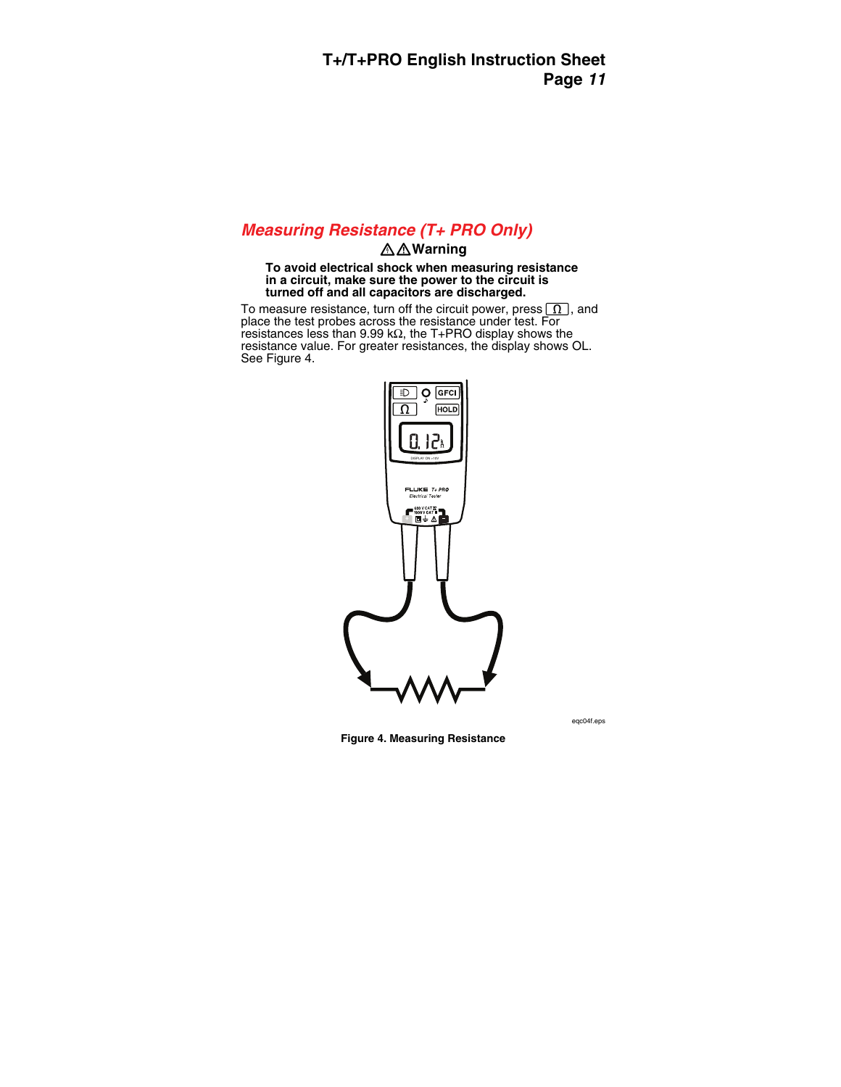# *Measuring Resistance (T+ PRO Only)*

#### XW**Warning**

#### **To avoid electrical shock when measuring resistance in a circuit, make sure the power to the circuit is turned off and all capacitors are discharged.**

To measure resistance, turn off the circuit power, press  $\lceil \Omega \rceil$ , and place the test probes across the resistance under test. For resistances less than 9.99 k $\Omega$ , the T+PRO display shows the resistance value. For greater resistances, the display shows OL. See Figure 4.



eqc04f.eps

**Figure 4. Measuring Resistance**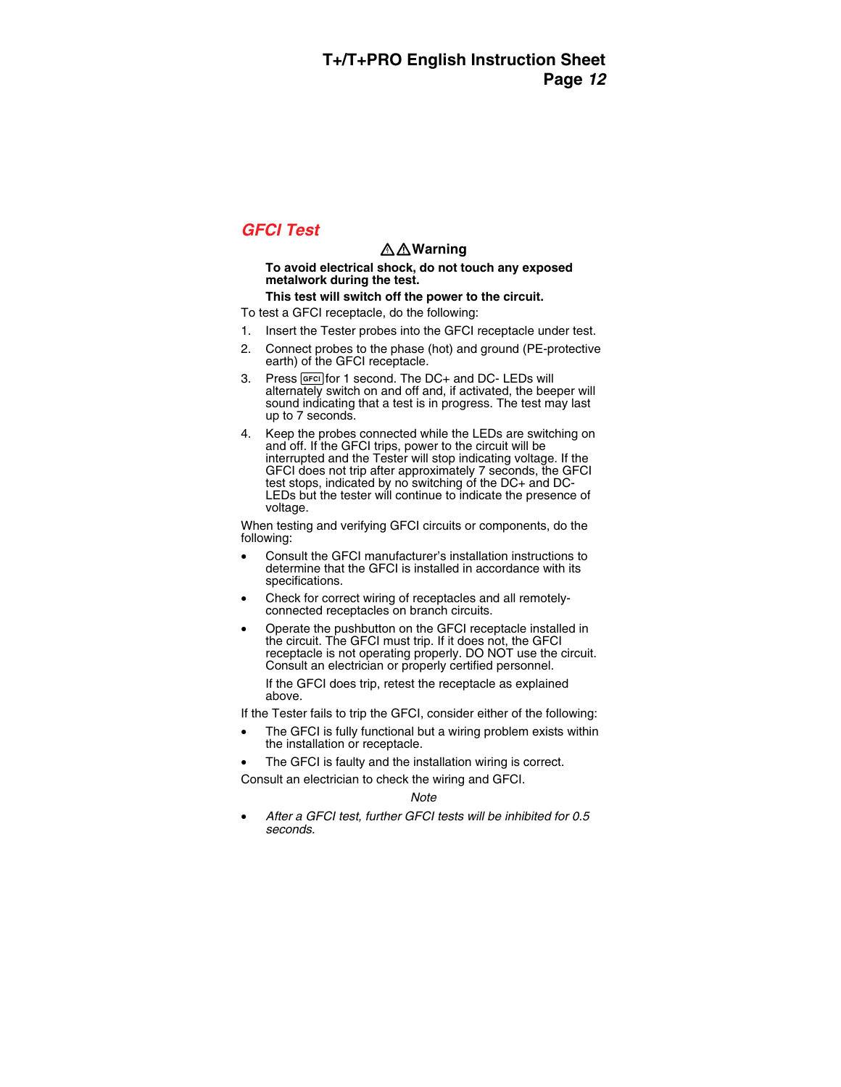# *GFCI Test*

### XW**Warning**

#### **To avoid electrical shock, do not touch any exposed metalwork during the test.**

#### **This test will switch off the power to the circuit.**

To test a GFCI receptacle, do the following:

- 1. Insert the Tester probes into the GFCI receptacle under test.
- 2. Connect probes to the phase (hot) and ground (PE-protective earth) of the GFCI receptacle.
- 3. Press GFG for 1 second. The DC+ and DC-LEDs will alternately switch on and off and, if activated, the beeper will sound indicating that a test is in progress. The test may last up to 7 seconds.
- 4. Keep the probes connected while the LEDs are switching on and off. If the GFCI trips, power to the circuit will be interrupted and the Tester will stop indicating voltage. If the GFCI does not trip after approximately 7 seconds, the GFCI test stops, indicated by no switching of the DC+ and DC-LEDs but the tester will continue to indicate the presence of voltage.

When testing and verifying GFCI circuits or components, do the following:

- Consult the GFCI manufacturer's installation instructions to determine that the GFCI is installed in accordance with its specifications.
- Check for correct wiring of receptacles and all remotelyconnected receptacles on branch circuits.
- Operate the pushbutton on the GFCI receptacle installed in the circuit. The GFCI must trip. If it does not, the GFCI receptacle is not operating properly. DO NOT use the circuit. Consult an electrician or properly certified personnel.

If the GFCI does trip, retest the receptacle as explained above.

If the Tester fails to trip the GFCI, consider either of the following:

- The GFCI is fully functional but a wiring problem exists within the installation or receptacle.
- The GFCI is faulty and the installation wiring is correct.

Consult an electrician to check the wiring and GFCI.

*Note* 

• *After a GFCI test, further GFCI tests will be inhibited for 0.5 seconds.*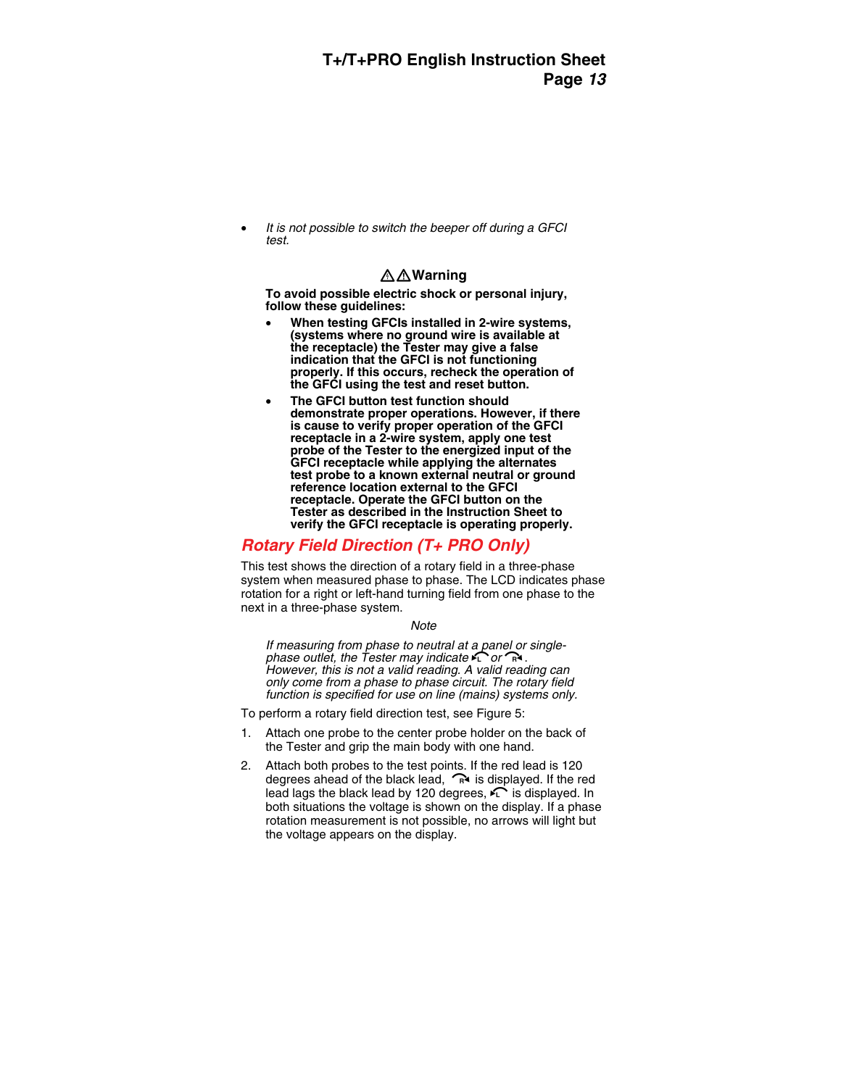• *It is not possible to switch the beeper off during a GFCI test.* 

### XW**Warning**

**To avoid possible electric shock or personal injury, follow these guidelines:** 

- **When testing GFCIs installed in 2-wire systems, (systems where no ground wire is available at the receptacle) the Tester may give a false indication that the GFCI is not functioning properly. If this occurs, recheck the operation of the GFCI using the test and reset button.**
- **The GFCI button test function should demonstrate proper operations. However, if there is cause to verify proper operation of the GFCI receptacle in a 2-wire system, apply one test probe of the Tester to the energized input of the GFCI receptacle while applying the alternates test probe to a known external neutral or ground reference location external to the GFCI receptacle. Operate the GFCI button on the Tester as described in the Instruction Sheet to verify the GFCI receptacle is operating properly.**

# *Rotary Field Direction (T+ PRO Only)*

This test shows the direction of a rotary field in a three-phase system when measured phase to phase. The LCD indicates phase rotation for a right or left-hand turning field from one phase to the next in a three-phase system.

#### *Note*

*If measuring from phase to neutral at a panel or single-*<br>phase outlet, the Tester may indicate  $\sum$  or  $\mathbb{R}$ . *<i>However, this is not a valid reading. A valid reading can only come from a phase to phase circuit. The rotary field function is specified for use on line (mains) systems only.* 

To perform a rotary field direction test, see Figure 5:

- 1. Attach one probe to the center probe holder on the back of the Tester and grip the main body with one hand.
- 2. Attach both probes to the test points. If the red lead is 120 degrees ahead of the black lead,  $\widehat{R}$  is displayed. If the red lead lags the black lead by 120 degrees,  $\widehat{\phantom{a}}$  is displayed. In both situations the voltage is shown on the display. If a phase rotation measurement is not possible, no arrows will light but the voltage appears on the display.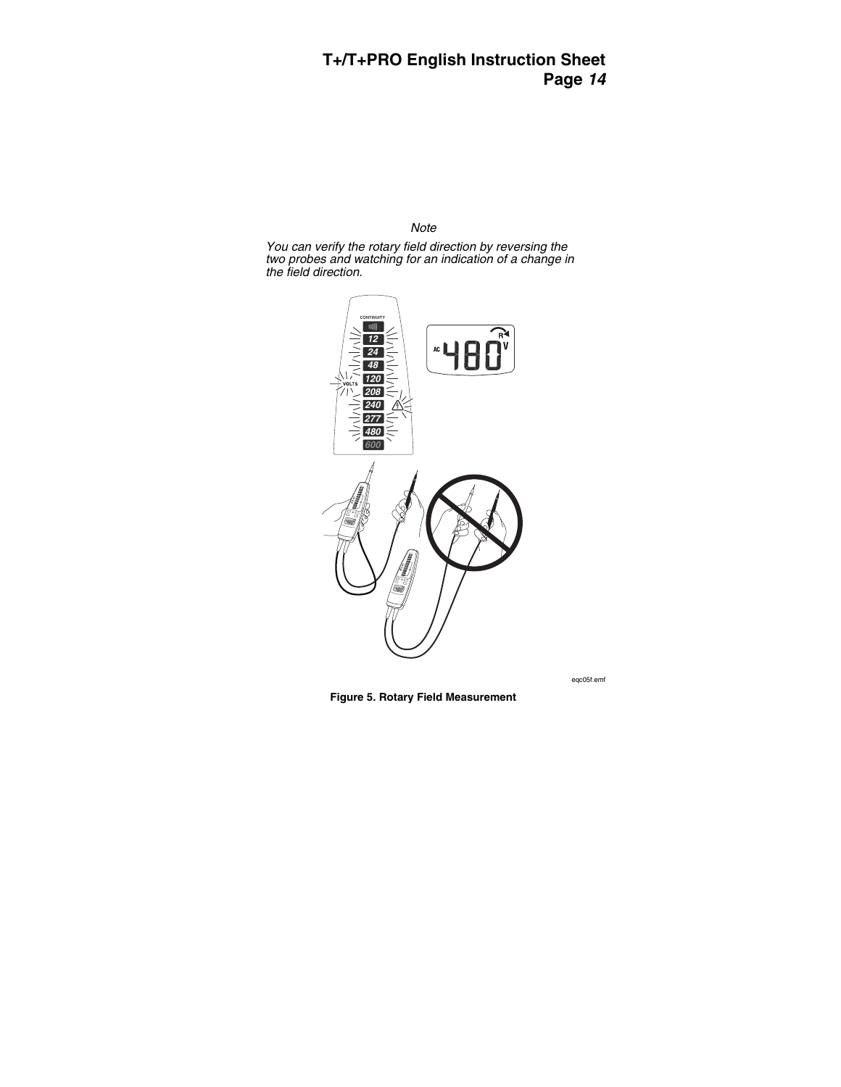#### *Note*

*You can verify the rotary field direction by reversing the two probes and watching for an indication of a change in the field direction.* 



eqc05f.emf

**Figure 5. Rotary Field Measurement**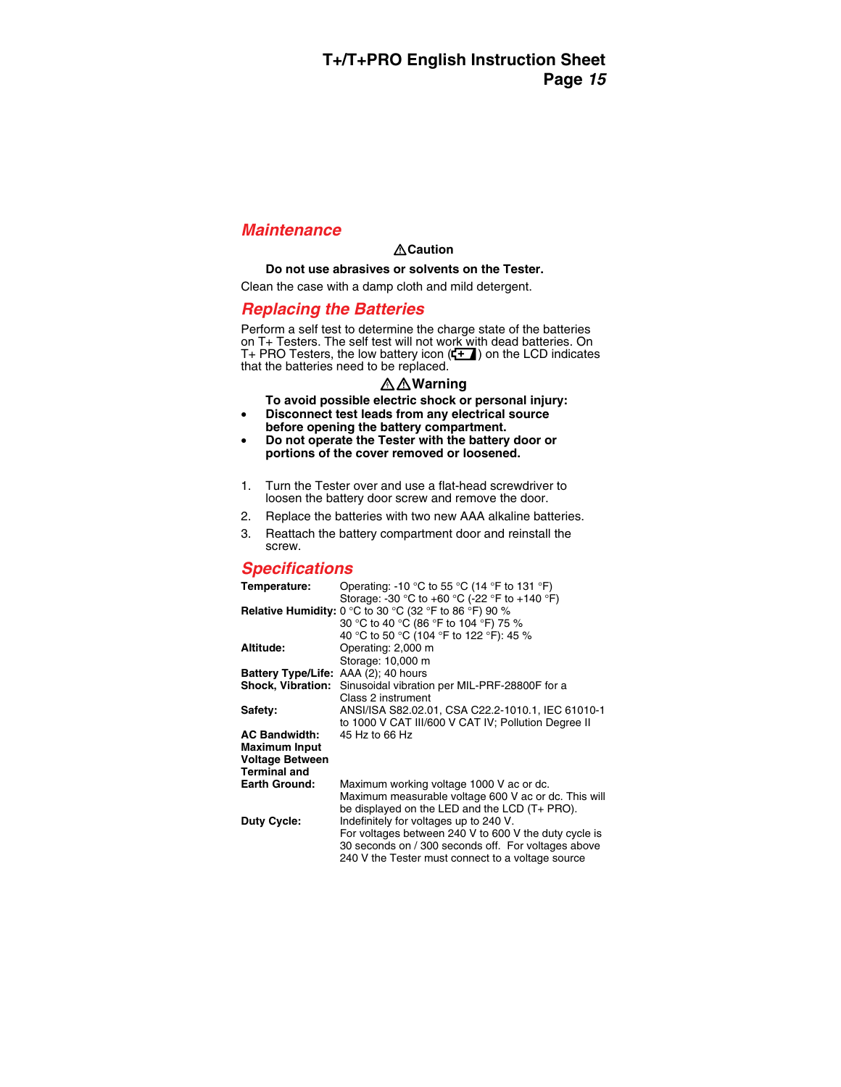# *Maintenance*

### W**Caution**

#### **Do not use abrasives or solvents on the Tester.**

Clean the case with a damp cloth and mild detergent.

# *Replacing the Batteries*

Perform a self test to determine the charge state of the batteries on T+ Testers. The self test will not work with dead batteries. On T+ PRO Testers, the low battery icon  $(E - )$  on the LCD indicates that the batteries need to be replaced.

### XW**Warning**

**To avoid possible electric shock or personal injury:** 

- **Disconnect test leads from any electrical source before opening the battery compartment.**
- **Do not operate the Tester with the battery door or portions of the cover removed or loosened.**
- 1. Turn the Tester over and use a flat-head screwdriver to loosen the battery door screw and remove the door.
- 2. Replace the batteries with two new AAA alkaline batteries.
- 3. Reattach the battery compartment door and reinstall the screw.

# *Specifications*

| Temperature:                         | Operating: -10 °C to 55 °C (14 °F to 131 °F)                    |
|--------------------------------------|-----------------------------------------------------------------|
|                                      | Storage: -30 °C to +60 °C (-22 °F to +140 °F)                   |
|                                      | <b>Relative Humidity:</b> 0 °C to 30 °C (32 °F to 86 °F) 90 %   |
|                                      | 30 °C to 40 °C (86 °F to 104 °F) 75 %                           |
|                                      | 40 °C to 50 °C (104 °F to 122 °F): 45 %                         |
| Altitude:                            | Operating: 2,000 m                                              |
|                                      | Storage: 10,000 m                                               |
| Battery Type/Life: AAA (2); 40 hours |                                                                 |
|                                      | Shock, Vibration: Sinusoidal vibration per MIL-PRF-28800F for a |
|                                      | Class 2 instrument                                              |
| Safety:                              | ANSI/ISA S82.02.01, CSA C22.2-1010.1, IEC 61010-1               |
|                                      | to 1000 V CAT III/600 V CAT IV; Pollution Degree II             |
| <b>AC Bandwidth:</b>                 | 45 Hz to 66 Hz                                                  |
| <b>Maximum Input</b>                 |                                                                 |
| <b>Voltage Between</b>               |                                                                 |
| <b>Terminal and</b>                  |                                                                 |
| <b>Earth Ground:</b>                 | Maximum working voltage 1000 V ac or dc.                        |
|                                      | Maximum measurable voltage 600 V ac or dc. This will            |
|                                      | be displayed on the LED and the LCD (T+ PRO).                   |
| <b>Duty Cycle:</b>                   | Indefinitely for voltages up to 240 V.                          |
|                                      | For voltages between 240 V to 600 V the duty cycle is           |
|                                      | 30 seconds on / 300 seconds off. For voltages above             |
|                                      | 240 V the Tester must connect to a voltage source               |
|                                      |                                                                 |